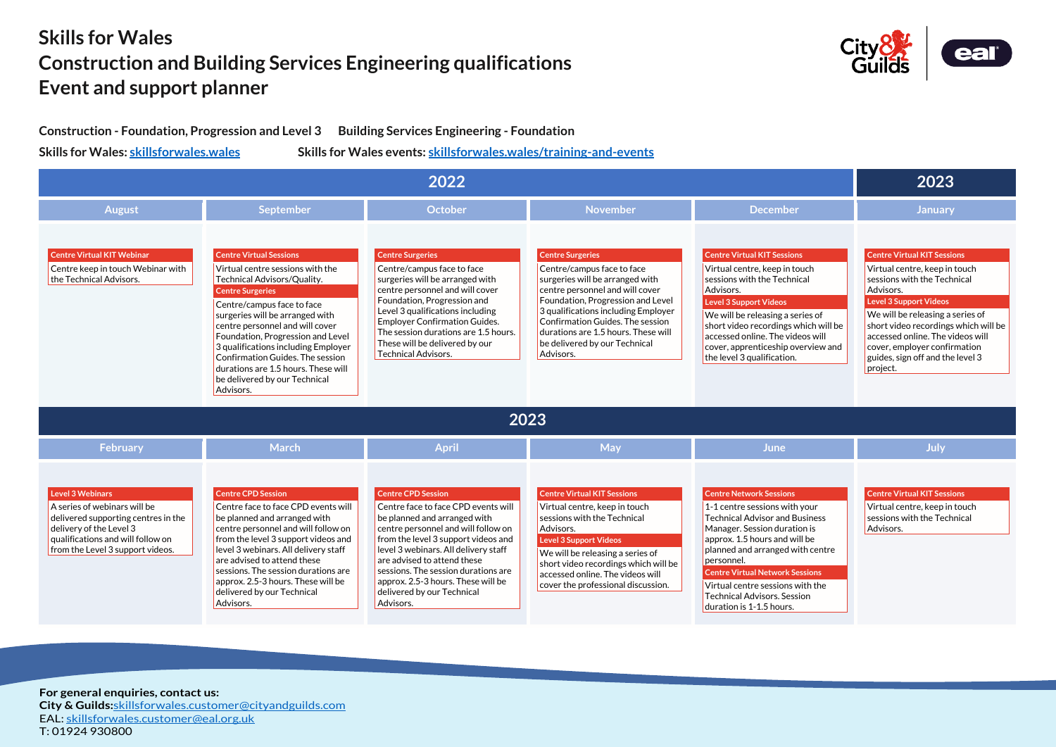**For general enquiries, contact us: City & Guilds:**[skillsforwales.customer@cityandguilds.com](mailto:skillsforwales.customer@cityandguilds.com) EAL: [skillsforwales.customer@eal.org.uk](mailto:skillsforwales.customer@eal.org.uk) T: 01924 930800





## **Skills for Wales Construction and Building Services Engineering qualifications Event and support planner**

**Construction - Foundation, Progression and Level 3 Building Services Engineering - Foundation** 

**Skills for Wales: [skillsforwales.wales](http://www.skillsforwales.wales/) Skills for Wales events: [skillsforwales.wales/training-and-events](https://www.skillsforwales.wales/training-and-events)**

| 2022                                                                                                                                                                                               |                                                                                                                                                                                                                                                                                                                                                                                                                                       |                                                                                                                                                                                                                                                                                                                                                                               |                                                                                                                                                                                                                                                                                                                                  |                                                                                                                                                                                                                                                                                                                                                                               |                                                                                                                                                                                                                                                                                         |  |  |  |
|----------------------------------------------------------------------------------------------------------------------------------------------------------------------------------------------------|---------------------------------------------------------------------------------------------------------------------------------------------------------------------------------------------------------------------------------------------------------------------------------------------------------------------------------------------------------------------------------------------------------------------------------------|-------------------------------------------------------------------------------------------------------------------------------------------------------------------------------------------------------------------------------------------------------------------------------------------------------------------------------------------------------------------------------|----------------------------------------------------------------------------------------------------------------------------------------------------------------------------------------------------------------------------------------------------------------------------------------------------------------------------------|-------------------------------------------------------------------------------------------------------------------------------------------------------------------------------------------------------------------------------------------------------------------------------------------------------------------------------------------------------------------------------|-----------------------------------------------------------------------------------------------------------------------------------------------------------------------------------------------------------------------------------------------------------------------------------------|--|--|--|
| <b>August</b>                                                                                                                                                                                      | <b>September</b>                                                                                                                                                                                                                                                                                                                                                                                                                      | October                                                                                                                                                                                                                                                                                                                                                                       | <b>November</b>                                                                                                                                                                                                                                                                                                                  | <b>December</b>                                                                                                                                                                                                                                                                                                                                                               | <b>January</b>                                                                                                                                                                                                                                                                          |  |  |  |
| <b>Centre Virtual KIT Webinar</b><br>Centre keep in touch Webinar with<br>the Technical Advisors.                                                                                                  | <b>Centre Virtual Sessions</b><br>Virtual centre sessions with the<br>Technical Advisors/Quality.<br><b>Centre Surgeries</b><br>Centre/campus face to face<br>surgeries will be arranged with<br>centre personnel and will cover<br>Foundation, Progression and Level<br>3 qualifications including Employer<br>Confirmation Guides. The session<br>durations are 1.5 hours. These will<br>be delivered by our Technical<br>Advisors. | <b>Centre Surgeries</b><br>Centre/campus face to face<br>surgeries will be arranged with<br>centre personnel and will cover<br>Foundation, Progression and<br>Level 3 qualifications including<br><b>Employer Confirmation Guides.</b><br>The session durations are 1.5 hours.<br>These will be delivered by our<br><b>Technical Advisors.</b>                                | <b>Centre Surgeries</b><br>Centre/campus face to face<br>surgeries will be arranged with<br>centre personnel and will cover<br>Foundation, Progression and Level<br>3 qualifications including Employer<br>Confirmation Guides. The session<br>durations are 1.5 hours. These will<br>be delivered by our Technical<br>Advisors. | <b>Centre Virtual KIT Sessions</b><br>Virtual centre, keep in touch<br>sessions with the Technical<br>Advisors.<br><b>Level 3 Support Videos</b><br>We will be releasing a series of<br>short video recordings which will be<br>accessed online. The videos will<br>cover, apprenticeship overview and<br>the level 3 qualification.                                          | <b>Centre Virtual KIT Session</b><br>Virtual centre, keep in<br>sessions with the Tech<br>Advisors.<br><b>Level 3 Support Videos</b><br>We will be releasing a s<br>short video recordings<br>accessed online. The vi<br>cover, employer confir<br>guides, sign off and the<br>project. |  |  |  |
| 2023                                                                                                                                                                                               |                                                                                                                                                                                                                                                                                                                                                                                                                                       |                                                                                                                                                                                                                                                                                                                                                                               |                                                                                                                                                                                                                                                                                                                                  |                                                                                                                                                                                                                                                                                                                                                                               |                                                                                                                                                                                                                                                                                         |  |  |  |
| February                                                                                                                                                                                           | <b>March</b>                                                                                                                                                                                                                                                                                                                                                                                                                          | <b>April</b>                                                                                                                                                                                                                                                                                                                                                                  | <b>May</b>                                                                                                                                                                                                                                                                                                                       | <b>June</b>                                                                                                                                                                                                                                                                                                                                                                   | July                                                                                                                                                                                                                                                                                    |  |  |  |
| <b>Level 3 Webinars</b><br>A series of webinars will be<br>delivered supporting centres in the<br>delivery of the Level 3<br>qualifications and will follow on<br>from the Level 3 support videos. | <b>Centre CPD Session</b><br>Centre face to face CPD events will<br>be planned and arranged with<br>centre personnel and will follow on<br>from the level 3 support videos and<br>level 3 webinars. All delivery staff<br>are advised to attend these<br>sessions. The session durations are<br>approx. 2.5-3 hours. These will be<br>delivered by our Technical<br>Advisors.                                                         | <b>Centre CPD Session</b><br>Centre face to face CPD events will<br>be planned and arranged with<br>centre personnel and will follow on<br>from the level 3 support videos and<br>level 3 webinars. All delivery staff<br>are advised to attend these<br>sessions. The session durations are<br>approx. 2.5-3 hours. These will be<br>delivered by our Technical<br>Advisors. | <b>Centre Virtual KIT Sessions</b><br>Virtual centre, keep in touch<br>sessions with the Technical<br>Advisors.<br>Level 3 Support Videos<br>We will be releasing a series of<br>short video recordings which will be<br>accessed online. The videos will<br>cover the professional discussion.                                  | <b>Centre Network Sessions</b><br>$1-1$ centre sessions with your<br><b>Technical Advisor and Business</b><br>Manager. Session duration is<br>approx. 1.5 hours and will be<br>planned and arranged with centre<br>personnel.<br><b>Centre Virtual Network Sessions</b><br>Virtual centre sessions with the<br><b>Technical Advisors. Session</b><br>duration is 1-1.5 hours. | <b>Centre Virtual KIT Sessie</b><br>Virtual centre, keep in<br>sessions with the Tech<br>Advisors.                                                                                                                                                                                      |  |  |  |